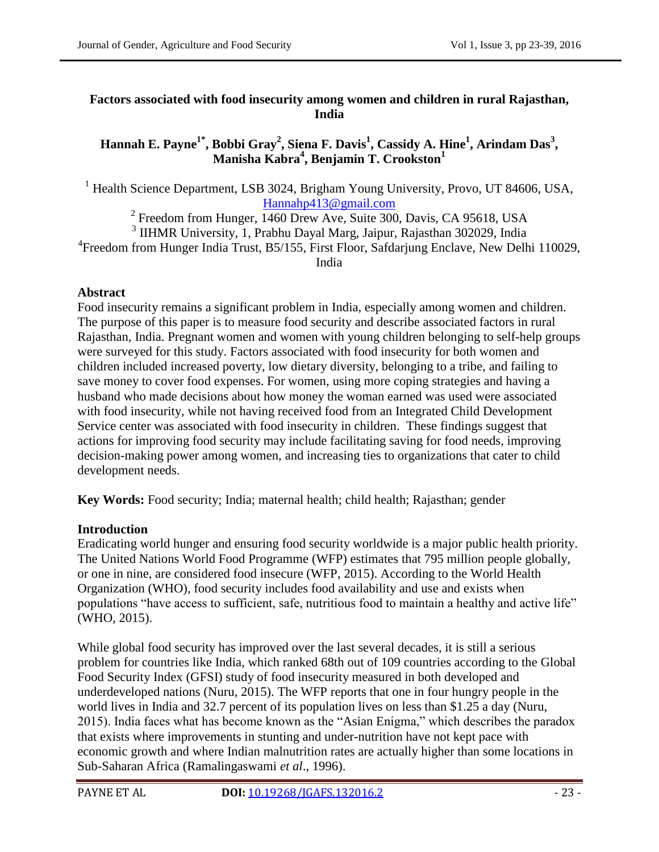### **Factors associated with food insecurity among women and children in rural Rajasthan, India**

# **Hannah E. Payne1\*, Bobbi Gray<sup>2</sup> , Siena F. Davis<sup>1</sup> , Cassidy A. Hine<sup>1</sup> , Arindam Das<sup>3</sup> , Manisha Kabra<sup>4</sup> , Benjamin T. Crookston<sup>1</sup>**

<sup>1</sup> Health Science Department, LSB 3024, Brigham Young University, Provo, UT 84606, USA, [Hannahp413@gmail.com](mailto:Hannahp413@gmail.com)

<sup>2</sup> Freedom from Hunger, 1460 Drew Ave, Suite 300, Davis, CA 95618, USA

<sup>3</sup> IIHMR University, 1, Prabhu Dayal Marg, Jaipur, Rajasthan 302029, India 4 Freedom from Hunger India Trust, B5/155, First Floor, Safdarjung Enclave, New Delhi 110029,

#### India

## **Abstract**

Food insecurity remains a significant problem in India, especially among women and children. The purpose of this paper is to measure food security and describe associated factors in rural Rajasthan, India. Pregnant women and women with young children belonging to self-help groups were surveyed for this study. Factors associated with food insecurity for both women and children included increased poverty, low dietary diversity, belonging to a tribe, and failing to save money to cover food expenses. For women, using more coping strategies and having a husband who made decisions about how money the woman earned was used were associated with food insecurity, while not having received food from an Integrated Child Development Service center was associated with food insecurity in children. These findings suggest that actions for improving food security may include facilitating saving for food needs, improving decision-making power among women, and increasing ties to organizations that cater to child development needs.

**Key Words:** Food security; India; maternal health; child health; Rajasthan; gender

### **Introduction**

Eradicating world hunger and ensuring food security worldwide is a major public health priority. The United Nations World Food Programme (WFP) estimates that 795 million people globally, or one in nine, are considered food insecure (WFP, 2015). According to the World Health Organization (WHO), food security includes food availability and use and exists when populations "have access to sufficient, safe, nutritious food to maintain a healthy and active life" (WHO, 2015).

While global food security has improved over the last several decades, it is still a serious problem for countries like India, which ranked 68th out of 109 countries according to the Global Food Security Index (GFSI) study of food insecurity measured in both developed and underdeveloped nations (Nuru, 2015). The WFP reports that one in four hungry people in the world lives in India and 32.7 percent of its population lives on less than \$1.25 a day (Nuru, 2015). India faces what has become known as the "Asian Enigma," which describes the paradox that exists where improvements in stunting and under-nutrition have not kept pace with economic growth and where Indian malnutrition rates are actually higher than some locations in Sub-Saharan Africa (Ramalingaswami *et al*., 1996).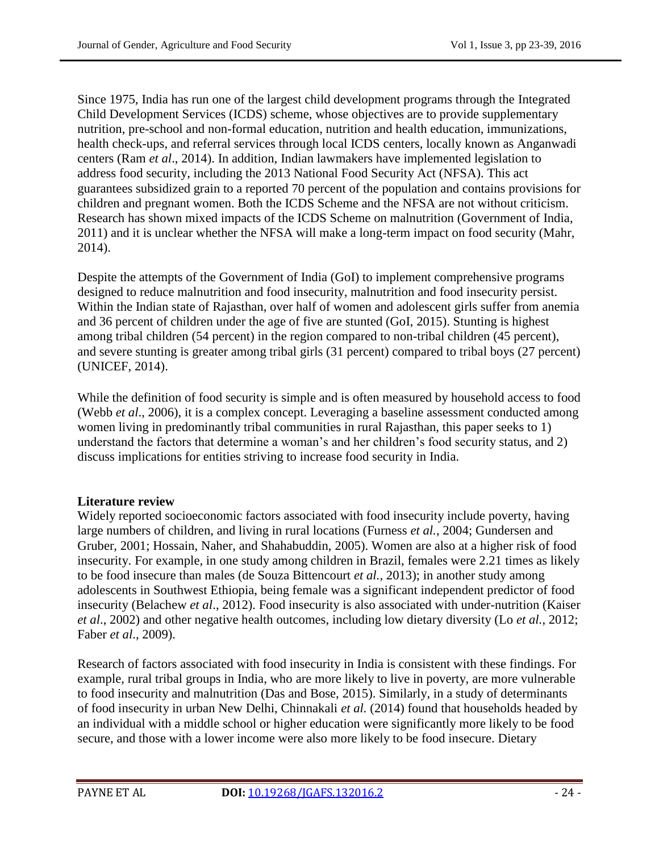Since 1975, India has run one of the largest child development programs through the Integrated Child Development Services (ICDS) scheme, whose objectives are to provide supplementary nutrition, pre-school and non-formal education, nutrition and health education, immunizations, health check-ups, and referral services through local ICDS centers, locally known as Anganwadi centers (Ram *et al*., 2014). In addition, Indian lawmakers have implemented legislation to address food security, including the 2013 National Food Security Act (NFSA). This act guarantees subsidized grain to a reported 70 percent of the population and contains provisions for children and pregnant women. Both the ICDS Scheme and the NFSA are not without criticism. Research has shown mixed impacts of the ICDS Scheme on malnutrition (Government of India, 2011) and it is unclear whether the NFSA will make a long-term impact on food security (Mahr, 2014).

Despite the attempts of the Government of India (GoI) to implement comprehensive programs designed to reduce malnutrition and food insecurity, malnutrition and food insecurity persist. Within the Indian state of Rajasthan, over half of women and adolescent girls suffer from anemia and 36 percent of children under the age of five are stunted (GoI, 2015). Stunting is highest among tribal children (54 percent) in the region compared to non-tribal children (45 percent), and severe stunting is greater among tribal girls (31 percent) compared to tribal boys (27 percent) (UNICEF, 2014).

While the definition of food security is simple and is often measured by household access to food (Webb *et al*., 2006), it is a complex concept. Leveraging a baseline assessment conducted among women living in predominantly tribal communities in rural Rajasthan, this paper seeks to 1) understand the factors that determine a woman's and her children's food security status, and 2) discuss implications for entities striving to increase food security in India.

## **Literature review**

Widely reported socioeconomic factors associated with food insecurity include poverty, having large numbers of children, and living in rural locations (Furness *et al.*, 2004; Gundersen and Gruber, 2001; Hossain, Naher, and Shahabuddin, 2005). Women are also at a higher risk of food insecurity. For example, in one study among children in Brazil, females were 2.21 times as likely to be food insecure than males (de Souza Bittencourt *et al.*, 2013); in another study among adolescents in Southwest Ethiopia, being female was a significant independent predictor of food insecurity (Belachew *et al*., 2012). Food insecurity is also associated with under-nutrition (Kaiser *et al*., 2002) and other negative health outcomes, including low dietary diversity (Lo *et al.*, 2012; Faber *et al*., 2009).

Research of factors associated with food insecurity in India is consistent with these findings. For example, rural tribal groups in India, who are more likely to live in poverty, are more vulnerable to food insecurity and malnutrition (Das and Bose, 2015). Similarly, in a study of determinants of food insecurity in urban New Delhi, Chinnakali *et al.* (2014) found that households headed by an individual with a middle school or higher education were significantly more likely to be food secure, and those with a lower income were also more likely to be food insecure. Dietary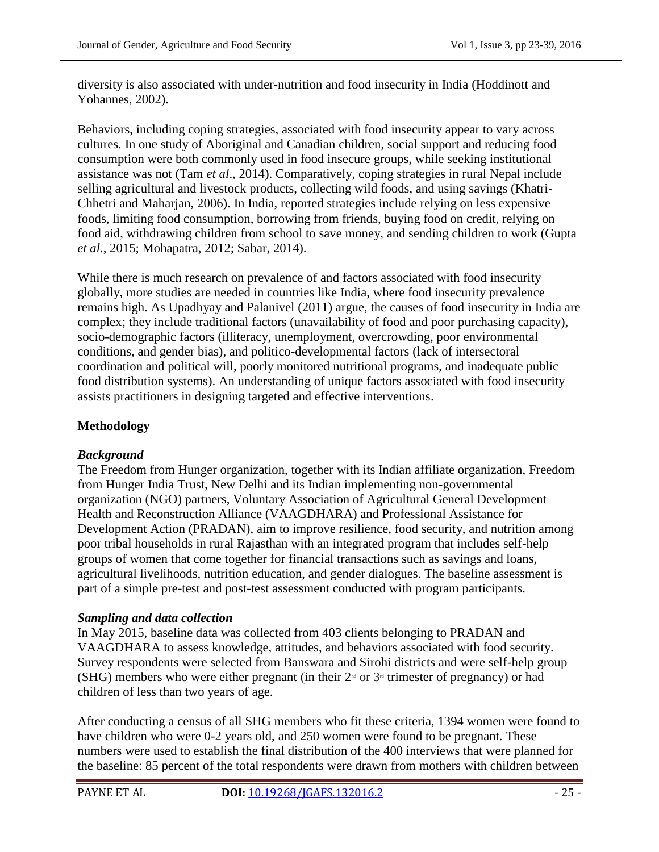diversity is also associated with under-nutrition and food insecurity in India (Hoddinott and Yohannes, 2002).

Behaviors, including coping strategies, associated with food insecurity appear to vary across cultures. In one study of Aboriginal and Canadian children, social support and reducing food consumption were both commonly used in food insecure groups, while seeking institutional assistance was not (Tam *et al*., 2014). Comparatively, coping strategies in rural Nepal include selling agricultural and livestock products, collecting wild foods, and using savings (Khatri-Chhetri and Maharjan, 2006). In India, reported strategies include relying on less expensive foods, limiting food consumption, borrowing from friends, buying food on credit, relying on food aid, withdrawing children from school to save money, and sending children to work (Gupta *et al*., 2015; Mohapatra, 2012; Sabar, 2014).

While there is much research on prevalence of and factors associated with food insecurity globally, more studies are needed in countries like India, where food insecurity prevalence remains high. As Upadhyay and Palanivel (2011) argue, the causes of food insecurity in India are complex; they include traditional factors (unavailability of food and poor purchasing capacity), socio-demographic factors (illiteracy, unemployment, overcrowding, poor environmental conditions, and gender bias), and politico-developmental factors (lack of intersectoral coordination and political will, poorly monitored nutritional programs, and inadequate public food distribution systems). An understanding of unique factors associated with food insecurity assists practitioners in designing targeted and effective interventions.

# **Methodology**

## *Background*

The Freedom from Hunger organization, together with its Indian affiliate organization, Freedom from Hunger India Trust, New Delhi and its Indian implementing non-governmental organization (NGO) partners, Voluntary Association of Agricultural General Development Health and Reconstruction Alliance (VAAGDHARA) and Professional Assistance for Development Action (PRADAN), aim to improve resilience, food security, and nutrition among poor tribal households in rural Rajasthan with an integrated program that includes self-help groups of women that come together for financial transactions such as savings and loans, agricultural livelihoods, nutrition education, and gender dialogues. The baseline assessment is part of a simple pre-test and post-test assessment conducted with program participants.

## *Sampling and data collection*

In May 2015, baseline data was collected from 403 clients belonging to PRADAN and VAAGDHARA to assess knowledge, attitudes, and behaviors associated with food security. Survey respondents were selected from Banswara and Sirohi districts and were self-help group (SHG) members who were either pregnant (in their  $2<sup>nd</sup>$  or  $3<sup>nd</sup>$  trimester of pregnancy) or had children of less than two years of age.

After conducting a census of all SHG members who fit these criteria, 1394 women were found to have children who were 0-2 years old, and 250 women were found to be pregnant. These numbers were used to establish the final distribution of the 400 interviews that were planned for the baseline: 85 percent of the total respondents were drawn from mothers with children between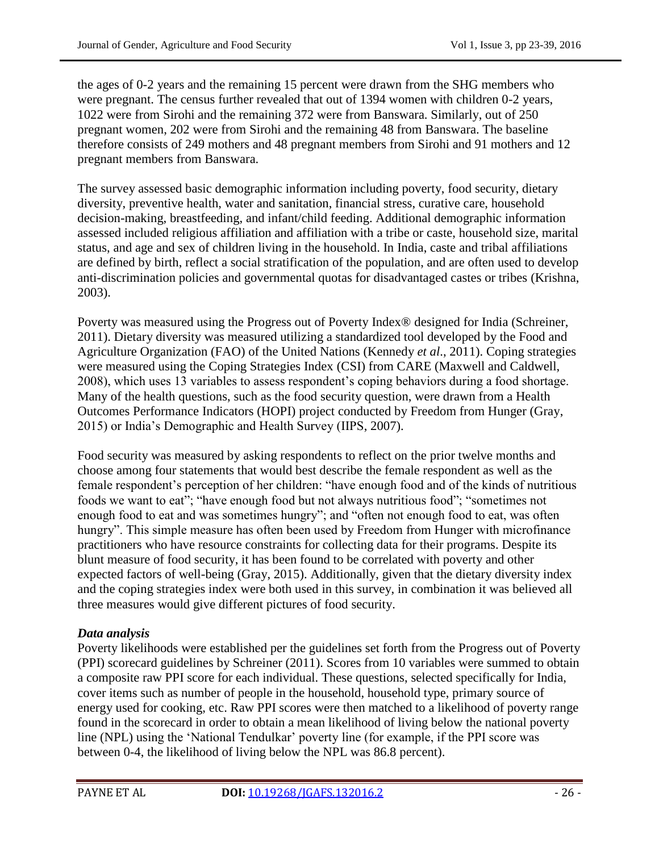the ages of 0-2 years and the remaining 15 percent were drawn from the SHG members who were pregnant. The census further revealed that out of 1394 women with children 0-2 years, 1022 were from Sirohi and the remaining 372 were from Banswara. Similarly, out of 250 pregnant women, 202 were from Sirohi and the remaining 48 from Banswara. The baseline therefore consists of 249 mothers and 48 pregnant members from Sirohi and 91 mothers and 12 pregnant members from Banswara.

The survey assessed basic demographic information including poverty, food security, dietary diversity, preventive health, water and sanitation, financial stress, curative care, household decision-making, breastfeeding, and infant/child feeding. Additional demographic information assessed included religious affiliation and affiliation with a tribe or caste, household size, marital status, and age and sex of children living in the household. In India, caste and tribal affiliations are defined by birth, reflect a social stratification of the population, and are often used to develop anti-discrimination policies and governmental quotas for disadvantaged castes or tribes (Krishna, 2003).

Poverty was measured using the Progress out of Poverty Index® designed for India (Schreiner, 2011). Dietary diversity was measured utilizing a standardized tool developed by the Food and Agriculture Organization (FAO) of the United Nations (Kennedy *et al*., 2011). Coping strategies were measured using the Coping Strategies Index (CSI) from CARE (Maxwell and Caldwell, 2008), which uses 13 variables to assess respondent"s coping behaviors during a food shortage. Many of the health questions, such as the food security question, were drawn from a Health Outcomes Performance Indicators (HOPI) project conducted by Freedom from Hunger (Gray, 2015) or India"s Demographic and Health Survey (IIPS, 2007).

Food security was measured by asking respondents to reflect on the prior twelve months and choose among four statements that would best describe the female respondent as well as the female respondent"s perception of her children: "have enough food and of the kinds of nutritious foods we want to eat"; "have enough food but not always nutritious food"; "sometimes not enough food to eat and was sometimes hungry"; and "often not enough food to eat, was often hungry". This simple measure has often been used by Freedom from Hunger with microfinance practitioners who have resource constraints for collecting data for their programs. Despite its blunt measure of food security, it has been found to be correlated with poverty and other expected factors of well-being (Gray, 2015). Additionally, given that the dietary diversity index and the coping strategies index were both used in this survey, in combination it was believed all three measures would give different pictures of food security.

## *Data analysis*

Poverty likelihoods were established per the guidelines set forth from the Progress out of Poverty (PPI) scorecard guidelines by Schreiner (2011). Scores from 10 variables were summed to obtain a composite raw PPI score for each individual. These questions, selected specifically for India, cover items such as number of people in the household, household type, primary source of energy used for cooking, etc. Raw PPI scores were then matched to a likelihood of poverty range found in the scorecard in order to obtain a mean likelihood of living below the national poverty line (NPL) using the "National Tendulkar" poverty line (for example, if the PPI score was between 0-4, the likelihood of living below the NPL was 86.8 percent).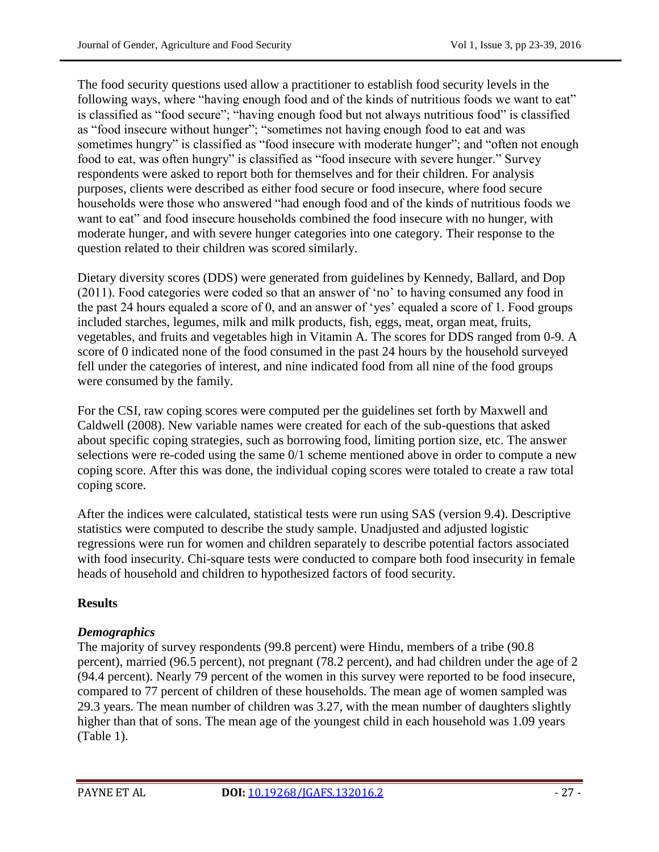The food security questions used allow a practitioner to establish food security levels in the following ways, where "having enough food and of the kinds of nutritious foods we want to eat" is classified as "food secure"; "having enough food but not always nutritious food" is classified as "food insecure without hunger"; "sometimes not having enough food to eat and was sometimes hungry" is classified as "food insecure with moderate hunger"; and "often not enough food to eat, was often hungry" is classified as "food insecure with severe hunger." Survey respondents were asked to report both for themselves and for their children. For analysis purposes, clients were described as either food secure or food insecure, where food secure households were those who answered "had enough food and of the kinds of nutritious foods we want to eat" and food insecure households combined the food insecure with no hunger, with moderate hunger, and with severe hunger categories into one category. Their response to the question related to their children was scored similarly.

Dietary diversity scores (DDS) were generated from guidelines by Kennedy, Ballard, and Dop (2011). Food categories were coded so that an answer of "no" to having consumed any food in the past 24 hours equaled a score of 0, and an answer of "yes" equaled a score of 1. Food groups included starches, legumes, milk and milk products, fish, eggs, meat, organ meat, fruits, vegetables, and fruits and vegetables high in Vitamin A. The scores for DDS ranged from 0-9. A score of 0 indicated none of the food consumed in the past 24 hours by the household surveyed fell under the categories of interest, and nine indicated food from all nine of the food groups were consumed by the family.

For the CSI, raw coping scores were computed per the guidelines set forth by Maxwell and Caldwell (2008). New variable names were created for each of the sub-questions that asked about specific coping strategies, such as borrowing food, limiting portion size, etc. The answer selections were re-coded using the same 0/1 scheme mentioned above in order to compute a new coping score. After this was done, the individual coping scores were totaled to create a raw total coping score.

After the indices were calculated, statistical tests were run using SAS (version 9.4). Descriptive statistics were computed to describe the study sample. Unadjusted and adjusted logistic regressions were run for women and children separately to describe potential factors associated with food insecurity. Chi-square tests were conducted to compare both food insecurity in female heads of household and children to hypothesized factors of food security.

## **Results**

## *Demographics*

The majority of survey respondents (99.8 percent) were Hindu, members of a tribe (90.8 percent), married (96.5 percent), not pregnant (78.2 percent), and had children under the age of 2 (94.4 percent). Nearly 79 percent of the women in this survey were reported to be food insecure, compared to 77 percent of children of these households. The mean age of women sampled was 29.3 years. The mean number of children was 3.27, with the mean number of daughters slightly higher than that of sons. The mean age of the youngest child in each household was 1.09 years (Table 1).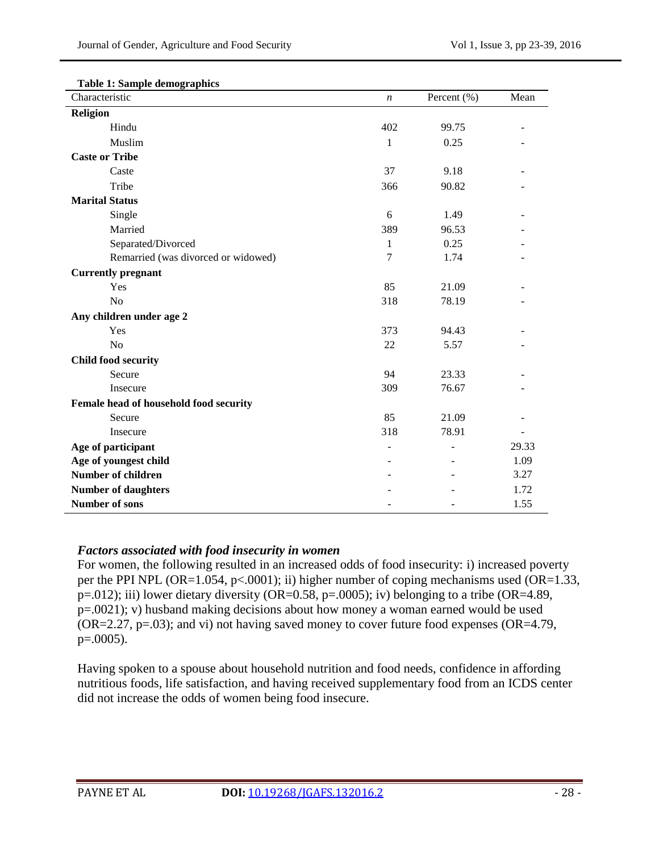| тале т. защре ченодтарном<br>Characteristic | $\boldsymbol{n}$ | Percent (%) | Mean  |
|---------------------------------------------|------------------|-------------|-------|
| <b>Religion</b>                             |                  |             |       |
| Hindu                                       | 402              | 99.75       |       |
| Muslim                                      | 1                | 0.25        |       |
| <b>Caste or Tribe</b>                       |                  |             |       |
| Caste                                       | 37               | 9.18        |       |
| Tribe                                       | 366              | 90.82       |       |
| <b>Marital Status</b>                       |                  |             |       |
| Single                                      | 6                | 1.49        |       |
| Married                                     | 389              | 96.53       |       |
| Separated/Divorced                          | 1                | 0.25        |       |
| Remarried (was divorced or widowed)         | 7                | 1.74        |       |
| <b>Currently pregnant</b>                   |                  |             |       |
| Yes                                         | 85               | 21.09       |       |
| N <sub>o</sub>                              | 318              | 78.19       |       |
| Any children under age 2                    |                  |             |       |
| Yes                                         | 373              | 94.43       |       |
| N <sub>o</sub>                              | 22               | 5.57        |       |
| <b>Child food security</b>                  |                  |             |       |
| Secure                                      | 94               | 23.33       |       |
| Insecure                                    | 309              | 76.67       |       |
| Female head of household food security      |                  |             |       |
| Secure                                      | 85               | 21.09       |       |
| Insecure                                    | 318              | 78.91       |       |
| Age of participant                          |                  |             | 29.33 |
| Age of youngest child                       |                  |             | 1.09  |
| <b>Number of children</b>                   |                  |             | 3.27  |
| <b>Number of daughters</b>                  |                  |             | 1.72  |
| <b>Number of sons</b>                       |                  |             | 1.55  |

#### **Table 1: Sample demographics**

### *Factors associated with food insecurity in women*

For women, the following resulted in an increased odds of food insecurity: i) increased poverty per the PPI NPL (OR=1.054, p<.0001); ii) higher number of coping mechanisms used (OR=1.33,  $p=012$ ); iii) lower dietary diversity (OR=0.58, p=.0005); iv) belonging to a tribe (OR=4.89, p=.0021); v) husband making decisions about how money a woman earned would be used  $(OR=2.27, p=.03)$ ; and vi) not having saved money to cover future food expenses  $(OR=4.79, p=.03)$ p=.0005).

Having spoken to a spouse about household nutrition and food needs, confidence in affording nutritious foods, life satisfaction, and having received supplementary food from an ICDS center did not increase the odds of women being food insecure.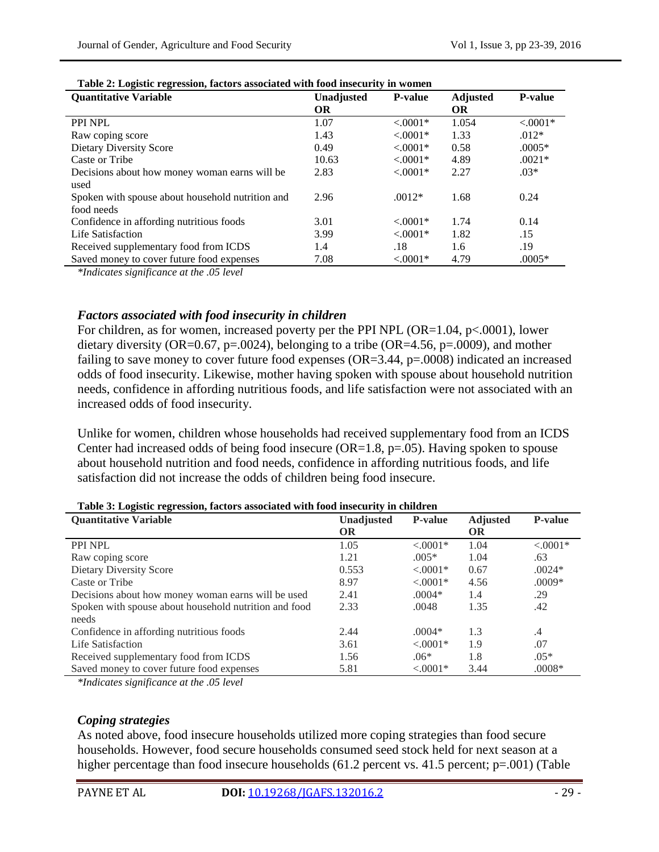| <b>Quantitative Variable</b>                     | <b>Unadjusted</b> | <b>P-value</b> | <b>Adjusted</b> | <b>P-value</b> |
|--------------------------------------------------|-------------------|----------------|-----------------|----------------|
|                                                  | <b>OR</b>         |                | <b>OR</b>       |                |
| PPI NPL                                          | 1.07              | $< 0.001*$     | 1.054           | $< 0.0001*$    |
| Raw coping score                                 | 1.43              | $< 0.001*$     | 1.33            | $.012*$        |
| Dietary Diversity Score                          | 0.49              | $< 0.001*$     | 0.58            | $.0005*$       |
| Caste or Tribe                                   | 10.63             | $< 0.0001*$    | 4.89            | $.0021*$       |
| Decisions about how money woman earns will be    | 2.83              | $< 0.0001*$    | 2.27            | $.03*$         |
| used                                             |                   |                |                 |                |
| Spoken with spouse about household nutrition and | 2.96              | $.0012*$       | 1.68            | 0.24           |
| food needs                                       |                   |                |                 |                |
| Confidence in affording nutritious foods         | 3.01              | $< 0.001*$     | 1.74            | 0.14           |
| Life Satisfaction                                | 3.99              | $< 0.001*$     | 1.82            | .15            |
| Received supplementary food from ICDS            | 1.4               | .18            | 1.6             | .19            |
| Saved money to cover future food expenses        | 7.08              | $< 0.0001*$    | 4.79            | $.0005*$       |

### **Table 2: Logistic regression, factors associated with food insecurity in women**

*\*Indicates significance at the .05 level*

### *Factors associated with food insecurity in children*

For children, as for women, increased poverty per the PPI NPL (OR= $1.04$ , p< $.0001$ ), lower dietary diversity (OR=0.67, p=.0024), belonging to a tribe (OR=4.56, p=.0009), and mother failing to save money to cover future food expenses  $(OR=3.44, p=.0008)$  indicated an increased odds of food insecurity. Likewise, mother having spoken with spouse about household nutrition needs, confidence in affording nutritious foods, and life satisfaction were not associated with an increased odds of food insecurity.

Unlike for women, children whose households had received supplementary food from an ICDS Center had increased odds of being food insecure (OR=1.8, p=.05). Having spoken to spouse about household nutrition and food needs, confidence in affording nutritious foods, and life satisfaction did not increase the odds of children being food insecure.

#### **Table 3: Logistic regression, factors associated with food insecurity in children**

| <b>Quantitative Variable</b>                          | Unadjusted | <b>P</b> -value | <b>Adjusted</b> | <b>P-value</b> |
|-------------------------------------------------------|------------|-----------------|-----------------|----------------|
|                                                       | <b>OR</b>  |                 | <b>OR</b>       |                |
| PPI NPL                                               | 1.05       | $< 0.0001*$     | 1.04            | $< .0001*$     |
| Raw coping score                                      | 1.21       | $.005*$         | 1.04            | .63            |
| Dietary Diversity Score                               | 0.553      | $< 0.001*$      | 0.67            | $.0024*$       |
| Caste or Tribe                                        | 8.97       | $< 0.001*$      | 4.56            | $.0009*$       |
| Decisions about how money woman earns will be used    | 2.41       | $.0004*$        | 1.4             | .29            |
| Spoken with spouse about household nutrition and food | 2.33       | .0048           | 1.35            | .42            |
| needs                                                 |            |                 |                 |                |
| Confidence in affording nutritious foods              | 2.44       | $.0004*$        | 1.3             | $\cdot$ 4      |
| Life Satisfaction                                     | 3.61       | $< 0.001*$      | 1.9             | .07            |
| Received supplementary food from ICDS                 | 1.56       | $.06*$          | 1.8             | $.05*$         |
| Saved money to cover future food expenses             | 5.81       | $< 0.001*$      | 3.44            | $.0008*$       |

*\*Indicates significance at the .05 level*

#### *Coping strategies*

As noted above, food insecure households utilized more coping strategies than food secure households. However, food secure households consumed seed stock held for next season at a higher percentage than food insecure households (61.2 percent vs. 41.5 percent;  $p=0.001$ ) (Table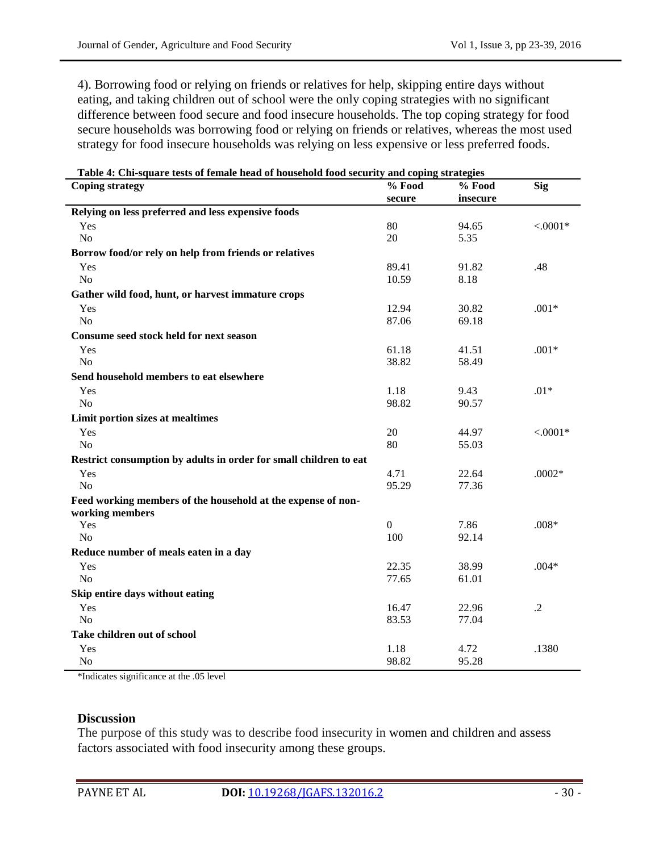4). Borrowing food or relying on friends or relatives for help, skipping entire days without eating, and taking children out of school were the only coping strategies with no significant difference between food secure and food insecure households. The top coping strategy for food secure households was borrowing food or relying on friends or relatives, whereas the most used strategy for food insecure households was relying on less expensive or less preferred foods.

| <b>Coping strategy</b>                                            | $%$ Food       | % Food   | Sig        |
|-------------------------------------------------------------------|----------------|----------|------------|
|                                                                   | secure         | insecure |            |
| Relying on less preferred and less expensive foods                |                |          |            |
| Yes                                                               | 80             | 94.65    | $< .0001*$ |
| N <sub>o</sub>                                                    | 20             | 5.35     |            |
| Borrow food/or rely on help from friends or relatives             |                |          |            |
| Yes                                                               | 89.41          | 91.82    | .48        |
| N <sub>o</sub>                                                    | 10.59          | 8.18     |            |
| Gather wild food, hunt, or harvest immature crops                 |                |          |            |
| Yes                                                               | 12.94          | 30.82    | $.001*$    |
| No                                                                | 87.06          | 69.18    |            |
| Consume seed stock held for next season                           |                |          |            |
| Yes                                                               | 61.18          | 41.51    | $.001*$    |
| No                                                                | 38.82          | 58.49    |            |
| Send household members to eat elsewhere                           |                |          |            |
| Yes                                                               | 1.18           | 9.43     | $.01*$     |
| N <sub>o</sub>                                                    | 98.82          | 90.57    |            |
| Limit portion sizes at mealtimes                                  |                |          |            |
| Yes                                                               | 20             | 44.97    | $< 0.001*$ |
| N <sub>o</sub>                                                    | 80             | 55.03    |            |
| Restrict consumption by adults in order for small children to eat |                |          |            |
| Yes                                                               | 4.71           | 22.64    | $.0002*$   |
| No                                                                | 95.29          | 77.36    |            |
| Feed working members of the household at the expense of non-      |                |          |            |
| working members                                                   |                |          |            |
| Yes                                                               | $\overline{0}$ | 7.86     | $.008*$    |
| N <sub>o</sub>                                                    | 100            | 92.14    |            |
| Reduce number of meals eaten in a day                             |                |          |            |
| Yes                                                               | 22.35          | 38.99    | $.004*$    |
| N <sub>o</sub>                                                    | 77.65          | 61.01    |            |
| Skip entire days without eating                                   |                |          |            |
| Yes                                                               | 16.47          | 22.96    | $\cdot$    |
| N <sub>o</sub>                                                    | 83.53          | 77.04    |            |
| Take children out of school                                       |                |          |            |
| Yes                                                               | 1.18           | 4.72     | .1380      |
| No                                                                | 98.82          | 95.28    |            |

|  | Table 4: Chi-square tests of female head of household food security and coping strategies |
|--|-------------------------------------------------------------------------------------------|
|  |                                                                                           |

\*Indicates significance at the .05 level

### **Discussion**

The purpose of this study was to describe food insecurity in women and children and assess factors associated with food insecurity among these groups.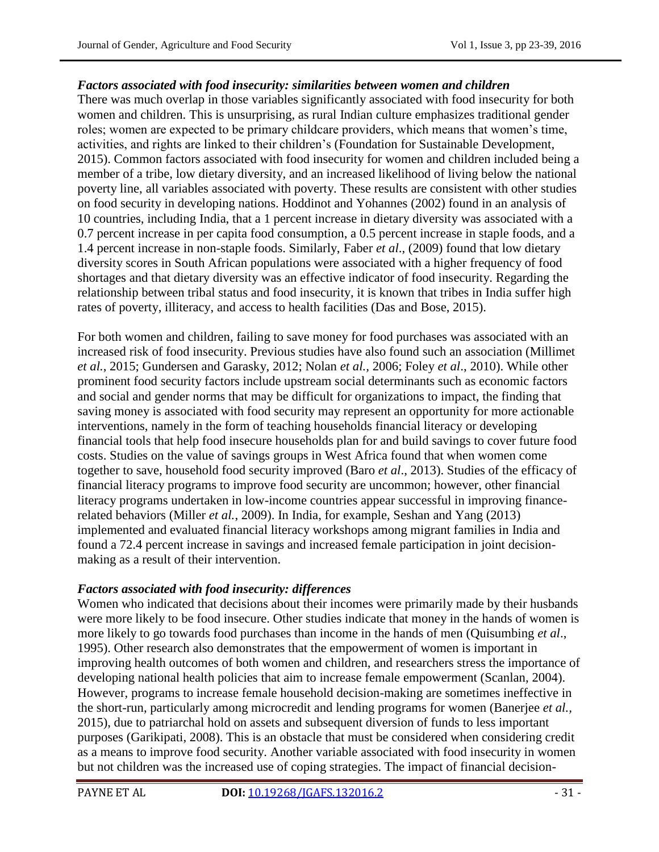### *Factors associated with food insecurity: similarities between women and children*

There was much overlap in those variables significantly associated with food insecurity for both women and children. This is unsurprising, as rural Indian culture emphasizes traditional gender roles; women are expected to be primary childcare providers, which means that women"s time, activities, and rights are linked to their children"s (Foundation for Sustainable Development, 2015). Common factors associated with food insecurity for women and children included being a member of a tribe, low dietary diversity, and an increased likelihood of living below the national poverty line, all variables associated with poverty. These results are consistent with other studies on food security in developing nations. Hoddinot and Yohannes (2002) found in an analysis of 10 countries, including India, that a 1 percent increase in dietary diversity was associated with a 0.7 percent increase in per capita food consumption, a 0.5 percent increase in staple foods, and a 1.4 percent increase in non-staple foods. Similarly, Faber *et al*., (2009) found that low dietary diversity scores in South African populations were associated with a higher frequency of food shortages and that dietary diversity was an effective indicator of food insecurity. Regarding the relationship between tribal status and food insecurity, it is known that tribes in India suffer high rates of poverty, illiteracy, and access to health facilities (Das and Bose, 2015).

For both women and children, failing to save money for food purchases was associated with an increased risk of food insecurity. Previous studies have also found such an association (Millimet *et al.*, 2015; Gundersen and Garasky, 2012; Nolan *et al.,* 2006; Foley *et al*., 2010). While other prominent food security factors include upstream social determinants such as economic factors and social and gender norms that may be difficult for organizations to impact, the finding that saving money is associated with food security may represent an opportunity for more actionable interventions, namely in the form of teaching households financial literacy or developing financial tools that help food insecure households plan for and build savings to cover future food costs. Studies on the value of savings groups in West Africa found that when women come together to save, household food security improved (Baro *et al*., 2013). Studies of the efficacy of financial literacy programs to improve food security are uncommon; however, other financial literacy programs undertaken in low-income countries appear successful in improving financerelated behaviors (Miller *et al.*, 2009). In India, for example, Seshan and Yang (2013) implemented and evaluated financial literacy workshops among migrant families in India and found a 72.4 percent increase in savings and increased female participation in joint decisionmaking as a result of their intervention.

### *Factors associated with food insecurity: differences*

Women who indicated that decisions about their incomes were primarily made by their husbands were more likely to be food insecure. Other studies indicate that money in the hands of women is more likely to go towards food purchases than income in the hands of men (Quisumbing *et al*., 1995). Other research also demonstrates that the empowerment of women is important in improving health outcomes of both women and children, and researchers stress the importance of developing national health policies that aim to increase female empowerment (Scanlan, 2004). However, programs to increase female household decision-making are sometimes ineffective in the short-run, particularly among microcredit and lending programs for women (Banerjee *et al.,*  2015), due to patriarchal hold on assets and subsequent diversion of funds to less important purposes (Garikipati, 2008). This is an obstacle that must be considered when considering credit as a means to improve food security. Another variable associated with food insecurity in women but not children was the increased use of coping strategies. The impact of financial decision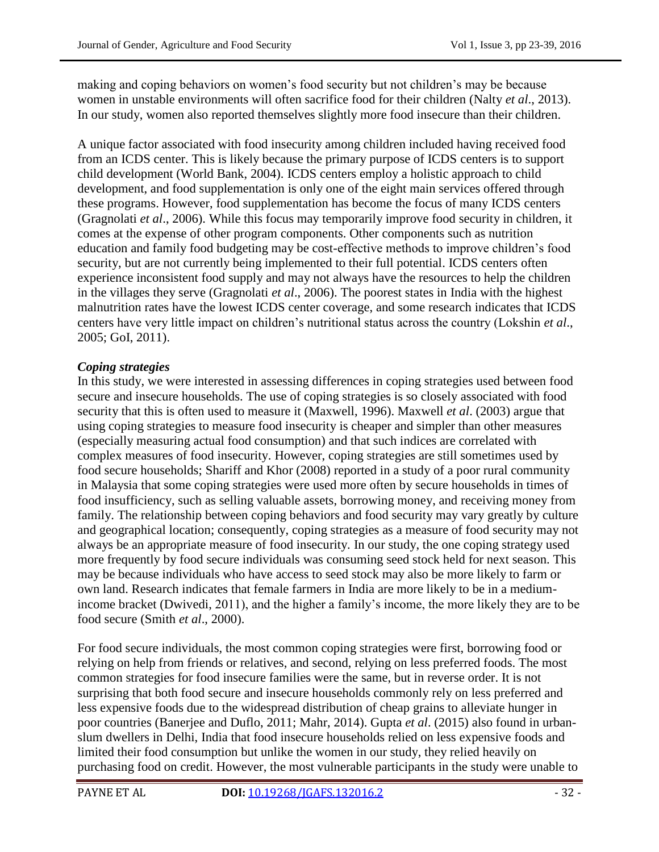making and coping behaviors on women"s food security but not children"s may be because women in unstable environments will often sacrifice food for their children (Nalty *et al*., 2013). In our study, women also reported themselves slightly more food insecure than their children.

A unique factor associated with food insecurity among children included having received food from an ICDS center. This is likely because the primary purpose of ICDS centers is to support child development (World Bank, 2004). ICDS centers employ a holistic approach to child development, and food supplementation is only one of the eight main services offered through these programs. However, food supplementation has become the focus of many ICDS centers (Gragnolati *et al*., 2006). While this focus may temporarily improve food security in children, it comes at the expense of other program components. Other components such as nutrition education and family food budgeting may be cost-effective methods to improve children"s food security, but are not currently being implemented to their full potential. ICDS centers often experience inconsistent food supply and may not always have the resources to help the children in the villages they serve (Gragnolati *et al*., 2006). The poorest states in India with the highest malnutrition rates have the lowest ICDS center coverage, and some research indicates that ICDS centers have very little impact on children"s nutritional status across the country (Lokshin *et al*., 2005; GoI, 2011).

# *Coping strategies*

In this study, we were interested in assessing differences in coping strategies used between food secure and insecure households. The use of coping strategies is so closely associated with food security that this is often used to measure it (Maxwell, 1996). Maxwell *et al*. (2003) argue that using coping strategies to measure food insecurity is cheaper and simpler than other measures (especially measuring actual food consumption) and that such indices are correlated with complex measures of food insecurity. However, coping strategies are still sometimes used by food secure households; Shariff and Khor (2008) reported in a study of a poor rural community in Malaysia that some coping strategies were used more often by secure households in times of food insufficiency, such as selling valuable assets, borrowing money, and receiving money from family. The relationship between coping behaviors and food security may vary greatly by culture and geographical location; consequently, coping strategies as a measure of food security may not always be an appropriate measure of food insecurity. In our study, the one coping strategy used more frequently by food secure individuals was consuming seed stock held for next season. This may be because individuals who have access to seed stock may also be more likely to farm or own land. Research indicates that female farmers in India are more likely to be in a mediumincome bracket (Dwivedi, 2011), and the higher a family"s income, the more likely they are to be food secure (Smith *et al*., 2000).

For food secure individuals, the most common coping strategies were first, borrowing food or relying on help from friends or relatives, and second, relying on less preferred foods. The most common strategies for food insecure families were the same, but in reverse order. It is not surprising that both food secure and insecure households commonly rely on less preferred and less expensive foods due to the widespread distribution of cheap grains to alleviate hunger in poor countries (Banerjee and Duflo, 2011; Mahr, 2014). Gupta *et al*. (2015) also found in urbanslum dwellers in Delhi, India that food insecure households relied on less expensive foods and limited their food consumption but unlike the women in our study, they relied heavily on purchasing food on credit. However, the most vulnerable participants in the study were unable to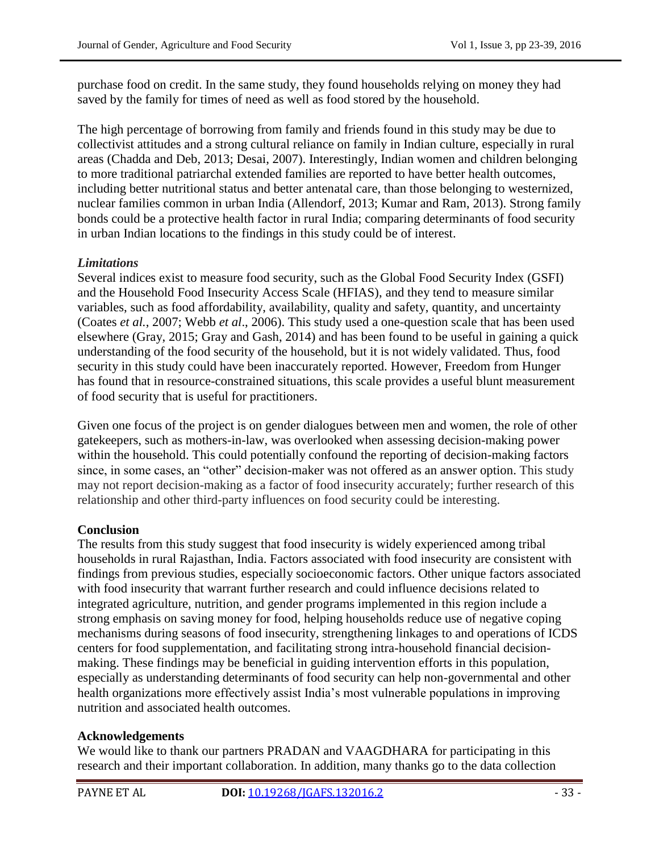purchase food on credit. In the same study, they found households relying on money they had saved by the family for times of need as well as food stored by the household.

The high percentage of borrowing from family and friends found in this study may be due to collectivist attitudes and a strong cultural reliance on family in Indian culture, especially in rural areas (Chadda and Deb, 2013; Desai, 2007). Interestingly, Indian women and children belonging to more traditional patriarchal extended families are reported to have better health outcomes, including better nutritional status and better antenatal care, than those belonging to westernized, nuclear families common in urban India (Allendorf, 2013; Kumar and Ram, 2013). Strong family bonds could be a protective health factor in rural India; comparing determinants of food security in urban Indian locations to the findings in this study could be of interest.

## *Limitations*

Several indices exist to measure food security, such as the Global Food Security Index (GSFI) and the Household Food Insecurity Access Scale (HFIAS), and they tend to measure similar variables, such as food affordability, availability, quality and safety, quantity, and uncertainty (Coates *et al.*, 2007; Webb *et al*., 2006). This study used a one-question scale that has been used elsewhere (Gray, 2015; Gray and Gash, 2014) and has been found to be useful in gaining a quick understanding of the food security of the household, but it is not widely validated. Thus, food security in this study could have been inaccurately reported. However, Freedom from Hunger has found that in resource-constrained situations, this scale provides a useful blunt measurement of food security that is useful for practitioners.

Given one focus of the project is on gender dialogues between men and women, the role of other gatekeepers, such as mothers-in-law, was overlooked when assessing decision-making power within the household. This could potentially confound the reporting of decision-making factors since, in some cases, an "other" decision-maker was not offered as an answer option. This study may not report decision-making as a factor of food insecurity accurately; further research of this relationship and other third-party influences on food security could be interesting.

## **Conclusion**

The results from this study suggest that food insecurity is widely experienced among tribal households in rural Rajasthan, India. Factors associated with food insecurity are consistent with findings from previous studies, especially socioeconomic factors. Other unique factors associated with food insecurity that warrant further research and could influence decisions related to integrated agriculture, nutrition, and gender programs implemented in this region include a strong emphasis on saving money for food, helping households reduce use of negative coping mechanisms during seasons of food insecurity, strengthening linkages to and operations of ICDS centers for food supplementation, and facilitating strong intra-household financial decisionmaking. These findings may be beneficial in guiding intervention efforts in this population, especially as understanding determinants of food security can help non-governmental and other health organizations more effectively assist India"s most vulnerable populations in improving nutrition and associated health outcomes.

## **Acknowledgements**

We would like to thank our partners PRADAN and VAAGDHARA for participating in this research and their important collaboration. In addition, many thanks go to the data collection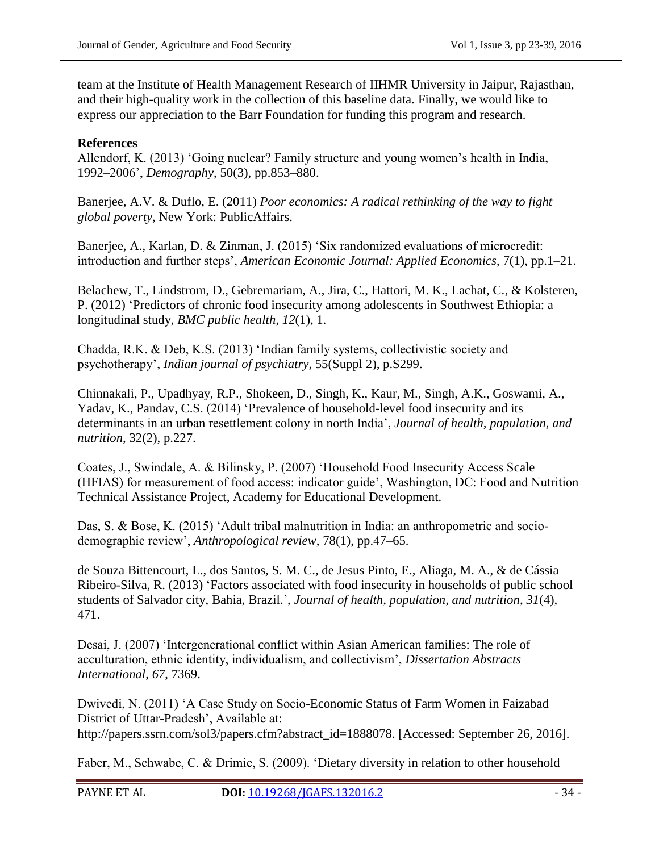team at the Institute of Health Management Research of IIHMR University in Jaipur, Rajasthan, and their high-quality work in the collection of this baseline data. Finally, we would like to express our appreciation to the Barr Foundation for funding this program and research.

## **References**

Allendorf, K. (2013) "Going nuclear? Family structure and young women"s health in India, 1992–2006", *Demography*, 50(3), pp.853–880.

Banerjee, A.V. & Duflo, E. (2011) *Poor economics: A radical rethinking of the way to fight global poverty*, New York: PublicAffairs.

Banerjee, A., Karlan, D. & Zinman, J. (2015) "Six randomized evaluations of microcredit: introduction and further steps", *American Economic Journal: Applied Economics*, 7(1), pp.1–21.

Belachew, T., Lindstrom, D., Gebremariam, A., Jira, C., Hattori, M. K., Lachat, C., & Kolsteren, P. (2012) "Predictors of chronic food insecurity among adolescents in Southwest Ethiopia: a longitudinal study, *BMC public health*, *12*(1), 1.

Chadda, R.K. & Deb, K.S. (2013) "Indian family systems, collectivistic society and psychotherapy", *Indian journal of psychiatry*, 55(Suppl 2), p.S299.

Chinnakali, P., Upadhyay, R.P., [Shokeen, D.](https://www.ncbi.nlm.nih.gov/pubmed/?term=Shokeen%20D%5BAuthor%5D&cauthor=true&cauthor_uid=25076660), [Singh, K.](https://www.ncbi.nlm.nih.gov/pubmed/?term=Singh%20K%5BAuthor%5D&cauthor=true&cauthor_uid=25076660), [Kaur, M.](https://www.ncbi.nlm.nih.gov/pubmed/?term=Kaur%20M%5BAuthor%5D&cauthor=true&cauthor_uid=25076660), [Singh, A.K.](https://www.ncbi.nlm.nih.gov/pubmed/?term=Singh%20AK%5BAuthor%5D&cauthor=true&cauthor_uid=25076660), [Goswami, A.](https://www.ncbi.nlm.nih.gov/pubmed/?term=Goswami%20A%5BAuthor%5D&cauthor=true&cauthor_uid=25076660), [Yadav, K.](https://www.ncbi.nlm.nih.gov/pubmed/?term=Yadav%20K%5BAuthor%5D&cauthor=true&cauthor_uid=25076660), [Pandav, C.S.](https://www.ncbi.nlm.nih.gov/pubmed/?term=Pandav%20CS%5BAuthor%5D&cauthor=true&cauthor_uid=25076660) (2014) "Prevalence of household-level food insecurity and its determinants in an urban resettlement colony in north India", *Journal of health, population, and nutrition*, 32(2), p.227.

Coates, J., Swindale, A. & Bilinsky, P. (2007) "Household Food Insecurity Access Scale (HFIAS) for measurement of food access: indicator guide", Washington, DC: Food and Nutrition Technical Assistance Project, Academy for Educational Development.

Das, S. & Bose, K. (2015) "Adult tribal malnutrition in India: an anthropometric and sociodemographic review", *Anthropological review*, 78(1), pp.47–65.

de Souza Bittencourt, L., dos Santos, S. M. C., de Jesus Pinto, E., Aliaga, M. A., & de Cássia Ribeiro-Silva, R. (2013) "Factors associated with food insecurity in households of public school students of Salvador city, Bahia, Brazil.", *Journal of health, population, and nutrition*, *31*(4), 471.

Desai, J. (2007) "Intergenerational [conflict](http://www.inquiriesjournal.com/keyword/conflict) within Asian American families: The role of acculturation, ethnic identity, individualism, and collectivism", *Dissertation Abstracts International*, *67*, 7369.

Dwivedi, N. (2011) "A Case Study on Socio-Economic Status of Farm Women in Faizabad District of Uttar-Pradesh', Available at: [http://papers.ssrn.com/sol3/papers.cfm?abstract\\_id=1888078.](http://papers.ssrn.com/sol3/papers.cfm?abstract_id=1888078) [Accessed: September 26, 2016].

Faber, M., Schwabe, C. & Drimie, S. (2009). "Dietary diversity in relation to other household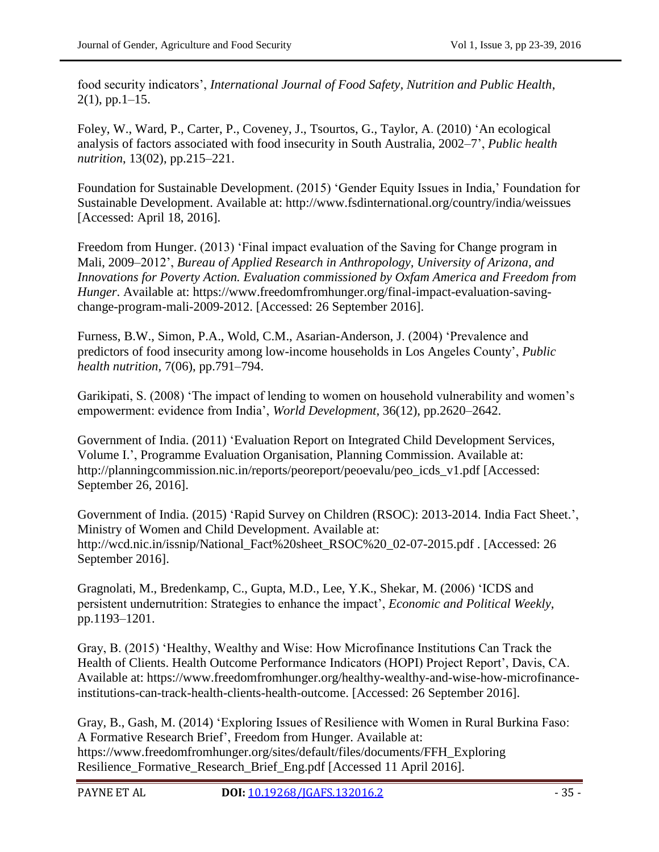food security indicators", *International Journal of Food Safety, Nutrition and Public Health*,  $2(1)$ , pp. 1–15.

Foley, W., [Ward, P.](https://www.ncbi.nlm.nih.gov/pubmed/?term=Ward%20P%5BAuthor%5D&cauthor=true&cauthor_uid=19706209), [Carter, P.](https://www.ncbi.nlm.nih.gov/pubmed/?term=Carter%20P%5BAuthor%5D&cauthor=true&cauthor_uid=19706209), [Coveney, J.](https://www.ncbi.nlm.nih.gov/pubmed/?term=Coveney%20J%5BAuthor%5D&cauthor=true&cauthor_uid=19706209), [Tsourtos, G.](https://www.ncbi.nlm.nih.gov/pubmed/?term=Tsourtos%20G%5BAuthor%5D&cauthor=true&cauthor_uid=19706209), [Taylor, A](https://www.ncbi.nlm.nih.gov/pubmed/?term=Taylor%20A%5BAuthor%5D&cauthor=true&cauthor_uid=19706209). (2010) "An ecological analysis of factors associated with food insecurity in South Australia, 2002–7", *Public health nutrition*, 13(02), pp.215–221.

Foundation for Sustainable Development. (2015) "Gender Equity Issues in India," Foundation for Sustainable Development. Available at: http://www.fsdinternational.org/country/india/weissues [Accessed: April 18, 2016].

Freedom from Hunger. (2013) 'Final impact evaluation of the Saving for Change program in Mali, 2009–2012", *Bureau of Applied Research in Anthropology, University of Arizona, and Innovations for Poverty Action. Evaluation commissioned by Oxfam America and Freedom from Hunger*. Available at: [https://www.freedomfromhunger.org/final-impact-evaluation-saving](https://www.freedomfromhunger.org/final-impact-evaluation-saving-change-program-mali-2009-2012)[change-program-mali-2009-2012.](https://www.freedomfromhunger.org/final-impact-evaluation-saving-change-program-mali-2009-2012) [Accessed: 26 September 2016].

Furness, B.W., [Simon, P.A.](https://www.ncbi.nlm.nih.gov/pubmed/?term=Simon%20PA%5BAuthor%5D&cauthor=true&cauthor_uid=15369618), [Wold, C.M.](https://www.ncbi.nlm.nih.gov/pubmed/?term=Wold%20CM%5BAuthor%5D&cauthor=true&cauthor_uid=15369618), [Asarian-Anderson, J.](https://www.ncbi.nlm.nih.gov/pubmed/?term=Asarian-Anderson%20J%5BAuthor%5D&cauthor=true&cauthor_uid=15369618) (2004) "Prevalence and predictors of food insecurity among low-income households in Los Angeles County", *Public health nutrition*, 7(06), pp.791–794.

Garikipati, S. (2008) 'The impact of lending to women on household vulnerability and women's empowerment: evidence from India", *World Development*, 36(12), pp.2620–2642.

Government of India. (2011) "Evaluation Report on Integrated Child Development Services, Volume I.', Programme Evaluation Organisation, Planning Commission. Available at: [http://planningcommission.nic.in/reports/peoreport/peoevalu/peo\\_icds\\_v1.pdf](http://planningcommission.nic.in/reports/peoreport/peoevalu/peo_icds_v1.pdf) [Accessed: September 26, 2016].

Government of India. (2015) 'Rapid Survey on Children (RSOC): 2013-2014. India Fact Sheet.', Ministry of Women and Child Development. Available at: [http://wcd.nic.in/issnip/National\\_Fact%20sheet\\_RSOC%20\\_02-07-2015.pdf](http://wcd.nic.in/issnip/National_Fact%20sheet_RSOC%20_02-07-2015.pdf) . [Accessed: 26 September 2016].

Gragnolati, M., Bredenkamp, C., Gupta, M.D., Lee, Y.K., Shekar, M. (2006) "ICDS and persistent undernutrition: Strategies to enhance the impact", *Economic and Political Weekly*, pp.1193–1201.

Gray, B. (2015) "Healthy, Wealthy and Wise: How Microfinance Institutions Can Track the Health of Clients. Health Outcome Performance Indicators (HOPI) Project Report', Davis, CA. Available at: https://www.freedomfromhunger.org/healthy-wealthy-and-wise-how-microfinanceinstitutions-can-track-health-clients-health-outcome. [Accessed: 26 September 2016].

Gray, B., Gash, M. (2014) "Exploring Issues of Resilience with Women in Rural Burkina Faso: A Formative Research Brief", Freedom from Hunger. Available at: [https://www.freedomfromhunger.org/sites/default/files/documents/FFH\\_Exploring](https://www.freedomfromhunger.org/sites/default/files/documents/FFH_Exploring) Resilience\_Formative\_Research\_Brief\_Eng.pdf [Accessed 11 April 2016].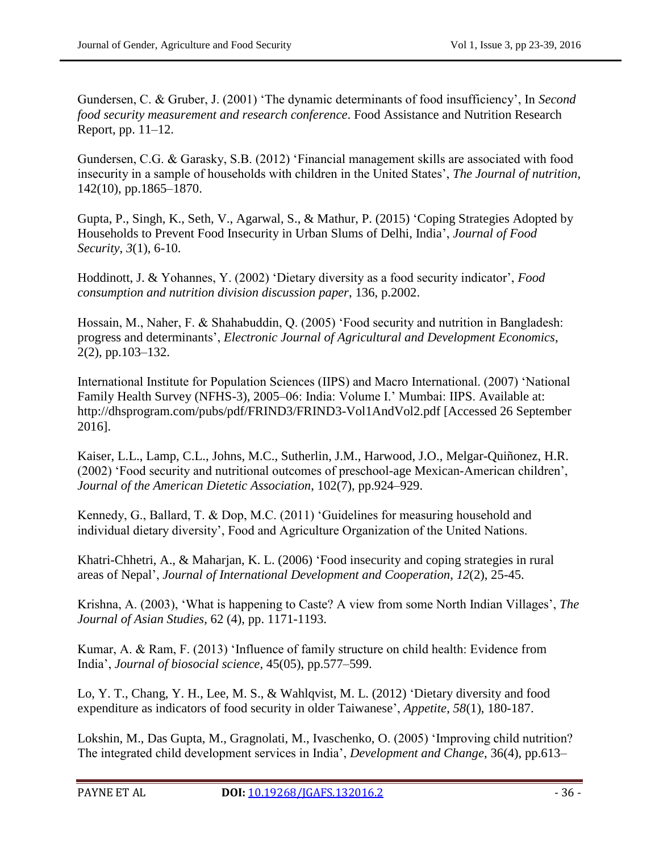Gundersen, C. & Gruber, J. (2001) "The dynamic determinants of food insufficiency", In *Second food security measurement and research conference*. Food Assistance and Nutrition Research Report, pp. 11–12.

Gundersen, C.G. & Garasky, S.B. (2012) "Financial management skills are associated with food insecurity in a sample of households with children in the United States", *The Journal of nutrition*, 142(10), pp.1865–1870.

Gupta, P., Singh, K., Seth, V., Agarwal, S., & Mathur, P. (2015) "Coping Strategies Adopted by Households to Prevent Food Insecurity in Urban Slums of Delhi, India", *Journal of Food Security*, *3*(1), 6-10.

Hoddinott, J. & Yohannes, Y. (2002) "Dietary diversity as a food security indicator", *Food consumption and nutrition division discussion paper*, 136, p.2002.

Hossain, M., Naher, F. & Shahabuddin, Q. (2005) "Food security and nutrition in Bangladesh: progress and determinants", *Electronic Journal of Agricultural and Development Economics*, 2(2), pp.103–132.

International Institute for Population Sciences (IIPS) and Macro International. (2007) "National Family Health Survey (NFHS-3), 2005–06: India: Volume I." Mumbai: IIPS. Available at: <http://dhsprogram.com/pubs/pdf/FRIND3/FRIND3-Vol1AndVol2.pdf> [Accessed 26 September 2016].

Kaiser, L.L., Lamp, C.L., Johns, M.C., Sutherlin, J.M., Harwood, J.O., Melgar-Quiñonez, H.R. (2002) "Food security and nutritional outcomes of preschool-age Mexican-American children", *Journal of the American Dietetic Association*, 102(7), pp.924–929.

Kennedy, G., Ballard, T. & Dop, M.C. (2011) "Guidelines for measuring household and individual dietary diversity", Food and Agriculture Organization of the United Nations.

Khatri-Chhetri, A., & Maharjan, K. L. (2006) "Food insecurity and coping strategies in rural areas of Nepal", *Journal of International Development and Cooperation*, *12*(2), 25-45.

Krishna, A. (2003), "What is happening to Caste? A view from some North Indian Villages", *The Journal of Asian Studies*, 62 (4), pp. 1171-1193.

Kumar, A. & Ram, F. (2013) "Influence of family structure on child health: Evidence from India", *Journal of biosocial science*, 45(05), pp.577–599.

Lo, Y. T., Chang, Y. H., Lee, M. S., & Wahlqvist, M. L. (2012) "Dietary diversity and food expenditure as indicators of food security in older Taiwanese", *Appetite*, *58*(1), 180-187.

Lokshin, M., Das Gupta, M., Gragnolati, M., Ivaschenko, O. (2005) "Improving child nutrition? The integrated child development services in India", *Development and Change*, 36(4), pp.613–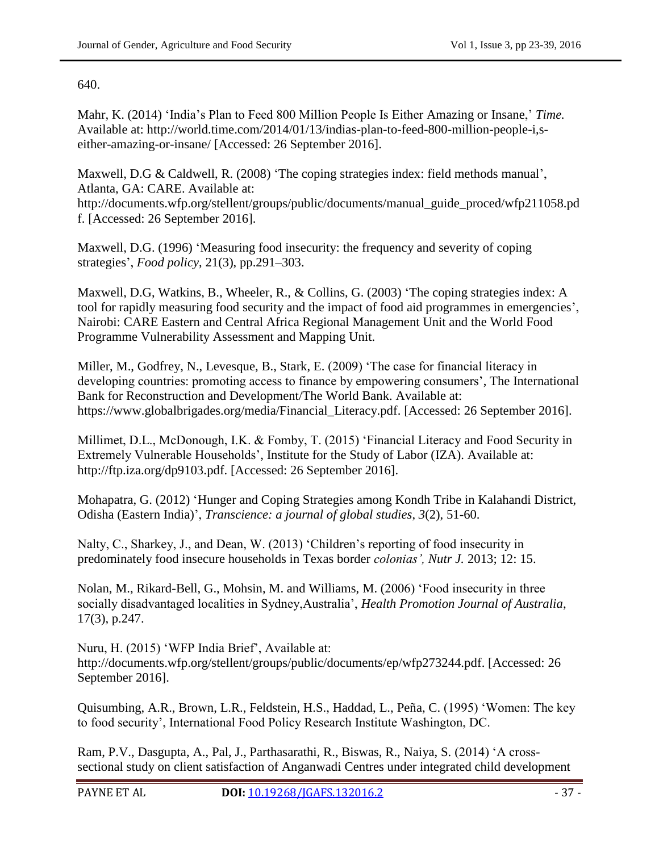### 640.

Mahr, K. (2014) "India"s Plan to Feed 800 Million People Is Either Amazing or Insane," *Time.* Available at: [http://world.time.com/2014/01/13/indias-plan-to-feed-800-million-people-i,s](http://world.time.com/2014/01/13/indias-plan-to-feed-800-million-people-i,s-either-amazing-or-insane/)[either-amazing-or-insane/](http://world.time.com/2014/01/13/indias-plan-to-feed-800-million-people-i,s-either-amazing-or-insane/) [Accessed: 26 September 2016].

Maxwell, D.G & Caldwell, R. (2008) 'The coping strategies index: field methods manual', Atlanta, GA: CARE. Available at:

http://documents.wfp.org/stellent/groups/public/documents/manual\_guide\_proced/wfp211058.pd f. [Accessed: 26 September 2016].

Maxwell, D.G. (1996) "Measuring food insecurity: the frequency and severity of coping strategies", *Food policy*, 21(3), pp.291–303.

Maxwell, D.G, Watkins, B., Wheeler, R., & Collins, G. (2003) "The coping strategies index: A tool for rapidly measuring food security and the impact of food aid programmes in emergencies", Nairobi: CARE Eastern and Central Africa Regional Management Unit and the World Food Programme Vulnerability Assessment and Mapping Unit.

Miller, M., Godfrey, N., Levesque, B., Stark, E. (2009) "The case for financial literacy in developing countries: promoting access to finance by empowering consumers', The International Bank for Reconstruction and Development/The World Bank. Available at: [https://www.globalbrigades.org/media/Financial\\_Literacy.pdf.](https://www.globalbrigades.org/media/Financial_Literacy.pdf) [Accessed: 26 September 2016].

Millimet, D.L., McDonough, I.K. & Fomby, T. (2015) "Financial Literacy and Food Security in Extremely Vulnerable Households", Institute for the Study of Labor (IZA). Available at: [http://ftp.iza.org/dp9103.pdf.](http://ftp.iza.org/dp9103.pdf) [Accessed: 26 September 2016].

Mohapatra, G. (2012) "Hunger and Coping Strategies among Kondh Tribe in Kalahandi District, Odisha (Eastern India)", *Transcience: a journal of global studies*, *3*(2), 51-60.

Nalty, C., Sharkey, J., and Dean, W. (2013) 'Children's reporting of food insecurity in predominately food insecure households in Texas border *colonias', [Nutr J.](http://www.ncbi.nlm.nih.gov/pmc/articles/PMC3598463/)* 2013; 12: 15.

Nolan, M., Rikard-Bell, G., Mohsin, M. and Williams, M. (2006) "Food insecurity in three socially disadvantaged localities in Sydney,Australia", *Health Promotion Journal of Australia*, 17(3), p.247.

Nuru, H. (2015) "WFP India Brief", Available at: [http://documents.wfp.org/stellent/groups/public/documents/ep/wfp273244.pdf.](http://documents.wfp.org/stellent/groups/public/documents/ep/wfp273244.pdf) [Accessed: 26 September 2016].

Quisumbing, A.R., Brown, L.R., Feldstein, H.S., Haddad, L., Peña, C. (1995) "Women: The key to food security", International Food Policy Research Institute Washington, DC.

Ram, P.V., Dasgupta, A., Pal, J., Parthasarathi, R., Biswas, R., Naiya, S. (2014) "A crosssectional study on client satisfaction of Anganwadi Centres under integrated child development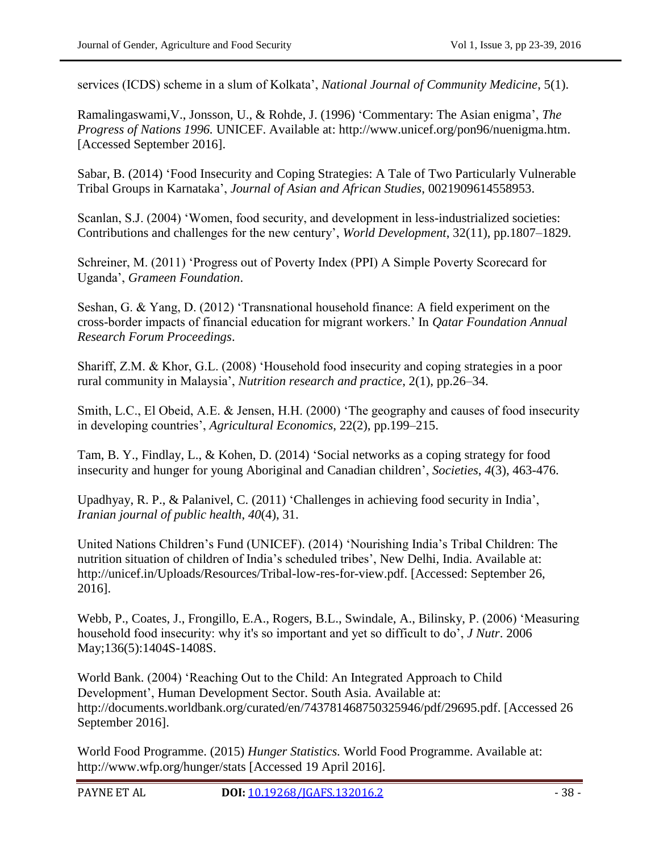services (ICDS) scheme in a slum of Kolkata", *National Journal of Community Medicine*, 5(1).

[Ramalingaswami,V., Jonsson, U., & Rohde,](http://www.unicef.org/pon96/nuenigma.htm#Professor) J. (1996) "Commentary: The Asian enigma", *The Progress of Nations 1996.* UNICEF. Available at: [http://www.unicef.org/pon96/nuenigma.htm.](http://www.unicef.org/pon96/nuenigma.htm) [Accessed September 2016].

Sabar, B. (2014) "Food Insecurity and Coping Strategies: A Tale of Two Particularly Vulnerable Tribal Groups in Karnataka", *Journal of Asian and African Studies*, 0021909614558953.

Scanlan, S.J. (2004) 'Women, food security, and development in less-industrialized societies: Contributions and challenges for the new century", *World Development*, 32(11), pp.1807–1829.

Schreiner, M. (2011) "Progress out of Poverty Index (PPI) A Simple Poverty Scorecard for Uganda", *Grameen Foundation*.

Seshan, G. & Yang, D. (2012) "Transnational household finance: A field experiment on the cross-border impacts of financial education for migrant workers." In *Qatar Foundation Annual Research Forum Proceedings*.

Shariff, Z.M. & Khor, G.L. (2008) "Household food insecurity and coping strategies in a poor rural community in Malaysia", *Nutrition research and practice*, 2(1), pp.26–34.

Smith, L.C., El Obeid, A.E. & Jensen, H.H. (2000) "The geography and causes of food insecurity in developing countries", *Agricultural Economics*, 22(2), pp.199–215.

Tam, B. Y., Findlay, L., & Kohen, D. (2014) "Social networks as a coping strategy for food insecurity and hunger for young Aboriginal and Canadian children", *Societies*, *4*(3), 463-476.

Upadhyay, R. P., & Palanivel, C. (2011) "Challenges in achieving food security in India", *Iranian journal of public health*, *40*(4), 31.

United Nations Children"s Fund (UNICEF). (2014) "Nourishing India"s Tribal Children: The nutrition situation of children of India's scheduled tribes', New Delhi, India. Available at: [http://unicef.in/Uploads/Resources/Tribal-low-res-for-view.pdf.](http://unicef.in/Uploads/Resources/Tribal-low-res-for-view.pdf) [Accessed: September 26, 2016].

[Webb, P.](https://www.ncbi.nlm.nih.gov/pubmed/?term=Webb%20P%5BAuthor%5D&cauthor=true&cauthor_uid=16614437), [Coates, J.](https://www.ncbi.nlm.nih.gov/pubmed/?term=Coates%20J%5BAuthor%5D&cauthor=true&cauthor_uid=16614437), [Frongillo, E.A.](https://www.ncbi.nlm.nih.gov/pubmed/?term=Frongillo%20EA%5BAuthor%5D&cauthor=true&cauthor_uid=16614437), [Rogers, B.L.](https://www.ncbi.nlm.nih.gov/pubmed/?term=Rogers%20BL%5BAuthor%5D&cauthor=true&cauthor_uid=16614437), [Swindale, A.](https://www.ncbi.nlm.nih.gov/pubmed/?term=Swindale%20A%5BAuthor%5D&cauthor=true&cauthor_uid=16614437), [Bilinsky, P.](https://www.ncbi.nlm.nih.gov/pubmed/?term=Bilinsky%20P%5BAuthor%5D&cauthor=true&cauthor_uid=16614437) (2006) "Measuring household food insecurity: why it's so important and yet so difficult to do", *[J Nutr](https://www.ncbi.nlm.nih.gov/pubmed/16614437)*. 2006 May;136(5):1404S-1408S.

World Bank. (2004) "Reaching Out to the Child: An Integrated Approach to Child Development", Human Development Sector. South Asia. Available at: [http://documents.worldbank.org/curated/en/743781468750325946/pdf/29695.pdf.](http://documents.worldbank.org/curated/en/743781468750325946/pdf/29695.pdf) [Accessed 26 September 2016].

World Food Programme. (2015) *Hunger Statistics.* World Food Programme. Available at: http://www.wfp.org/hunger/stats [Accessed 19 April 2016].